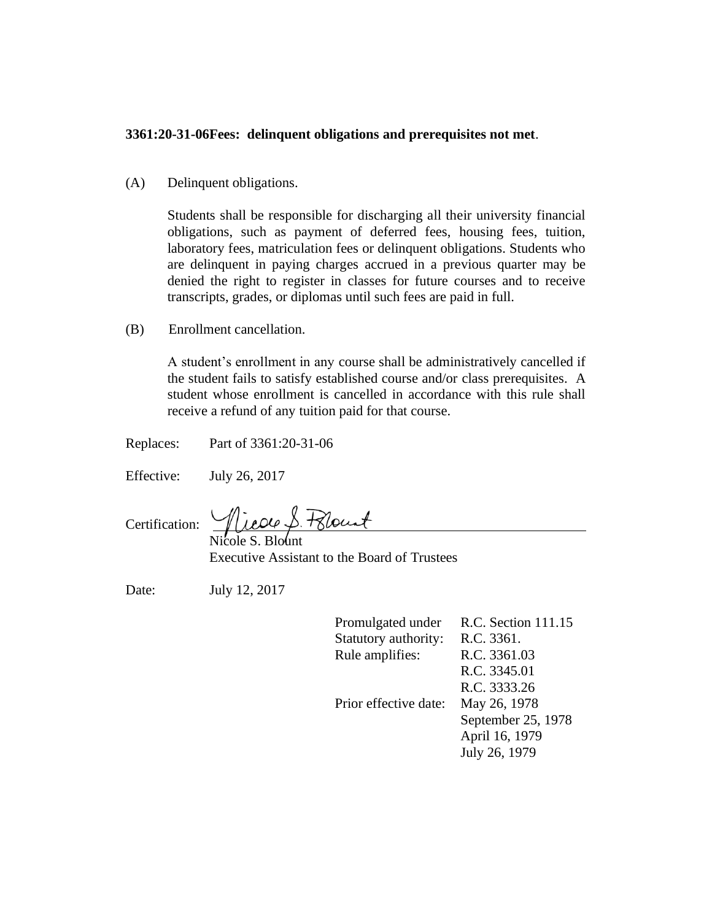## **3361:20-31-06Fees: delinquent obligations and prerequisites not met**.

(A) Delinquent obligations.

Students shall be responsible for discharging all their university financial obligations, such as payment of deferred fees, housing fees, tuition, laboratory fees, matriculation fees or delinquent obligations. Students who are delinquent in paying charges accrued in a previous quarter may be denied the right to register in classes for future courses and to receive transcripts, grades, or diplomas until such fees are paid in full.

(B) Enrollment cancellation.

A student's enrollment in any course shall be administratively cancelled if the student fails to satisfy established course and/or class prerequisites. A student whose enrollment is cancelled in accordance with this rule shall receive a refund of any tuition paid for that course.

Replaces: Part of 3361:20-31-06

Effective: July 26, 2017

Certification:

Nicole S. Blount Executive Assistant to the Board of Trustees

Date: July 12, 2017

| Promulgated under     | R.C. Section 111.15 |
|-----------------------|---------------------|
| Statutory authority:  | R.C. 3361.          |
| Rule amplifies:       | R.C. 3361.03        |
|                       | R.C. 3345.01        |
|                       | R.C. 3333.26        |
| Prior effective date: | May 26, 1978        |
|                       | September 25, 1978  |
|                       | April 16, 1979      |
|                       | July 26, 1979       |
|                       |                     |